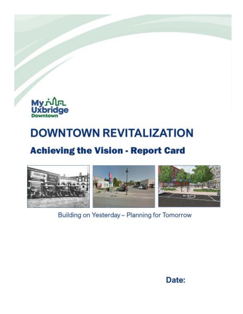

## **DOWNTOWN REVITALIZATION**

## **Achieving the Vision - Report Card**



Building on Yesterday - Planning for Tomorrow

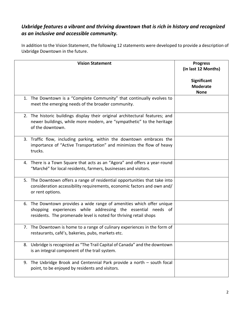## *Uxbridge features a vibrant and thriving downtown that is rich in history and recognized as an inclusive and accessible community.*

In addition to the Vision Statement, the following 12 statements were developed to provide a description of Uxbridge Downtown in the future.

| <b>Vision Statement</b>                                                                                                                                                                                    | <b>Progress</b><br>(in last 12 Months)<br>Significant |
|------------------------------------------------------------------------------------------------------------------------------------------------------------------------------------------------------------|-------------------------------------------------------|
|                                                                                                                                                                                                            | <b>Moderate</b><br><b>None</b>                        |
| 1. The Downtown is a "Complete Community" that continually evolves to<br>meet the emerging needs of the broader community.                                                                                 |                                                       |
| 2. The historic buildings display their original architectural features; and<br>newer buildings, while more modern, are "sympathetic" to the heritage<br>of the downtown.                                  |                                                       |
| 3. Traffic flow, including parking, within the downtown embraces the<br>importance of "Active Transportation" and minimizes the flow of heavy<br>trucks.                                                   |                                                       |
| 4. There is a Town Square that acts as an "Agora" and offers a year-round<br>"Marché" for local residents, farmers, businesses and visitors.                                                               |                                                       |
| 5. The Downtown offers a range of residential opportunities that take into<br>consideration accessibility requirements, economic factors and own and/<br>or rent options.                                  |                                                       |
| 6. The Downtown provides a wide range of amenities which offer unique<br>shopping experiences while addressing the essential needs of<br>residents. The promenade level is noted for thriving retail shops |                                                       |
| 7. The Downtown is home to a range of culinary experiences in the form of<br>restaurants, café's, bakeries, pubs, markets etc.                                                                             |                                                       |
| 8. Uxbridge is recognized as "The Trail Capital of Canada" and the downtown<br>is an integral component of the trail system.                                                                               |                                                       |
| 9. The Uxbridge Brook and Centennial Park provide a north - south focal<br>point, to be enjoyed by residents and visitors.                                                                                 |                                                       |